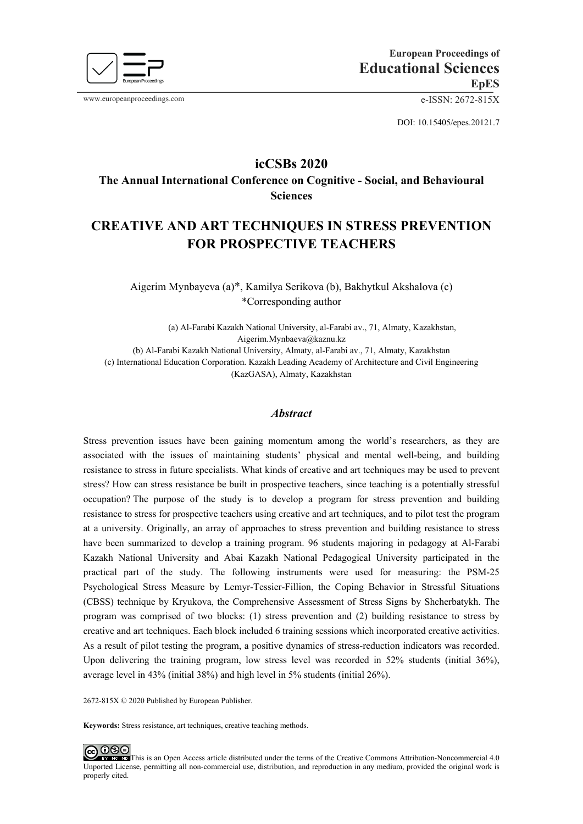

www.europeanproceedings.com e-ISSN: 2672-815X

DOI: 10.15405/epes.20121.7

# **icCSBs 2020**

**The Annual International Conference on Cognitive - Social, and Behavioural Sciences**

# **CREATIVE AND ART TECHNIQUES IN STRESS PREVENTION FOR PROSPECTIVE TEACHERS**

Aigerim Mynbayeva (a)\*, Kamilya Serikova (b), Bakhytkul Akshalova (c) \*Corresponding author

(a) Al-Farabi Kazakh National University, al-Farabi av., 71, Almaty, Kazakhstan, [Aigerim.Mynbaeva@kaznu.kz](mailto:Aigerim.Mynbaeva@kaznu.kz) (b) Al-Farabi Kazakh National University, Almaty, al-Farabi av., 71, Almaty, Kazakhstan (c) International Education Corporation. Kazakh Leading Academy of Architecture and Civil Engineering (KazGASA), Almaty, Kazakhstan

# *Abstract*

Stress prevention issues have been gaining momentum among the world's researchers, as they are associated with the issues of maintaining students' physical and mental well-being, and building resistance to stress in future specialists. What kinds of creative and art techniques may be used to prevent stress? How can stress resistance be built in prospective teachers, since teaching is a potentially stressful occupation? The purpose of the study is to develop a program for stress prevention and building resistance to stress for prospective teachers using creative and art techniques, and to pilot test the program at a university. Originally, an array of approaches to stress prevention and building resistance to stress have been summarized to develop a training program. 96 students majoring in pedagogy at Al-Farabi Kazakh National University and Abai Kazakh National Pedagogical University participated in the practical part of the study. The following instruments were used for measuring: the PSM-25 Psychological Stress Measure by Lemyr-Tessier-Fillion, the Coping Behavior in Stressful Situations (CBSS) technique by Kryukova, the Comprehensive Assessment of Stress Signs by Shcherbatykh. The program was comprised of two blocks: (1) stress prevention and (2) building resistance to stress by creative and art techniques. Each block included 6 training sessions which incorporated creative activities. As a result of pilot testing the program, a positive dynamics of stress-reduction indicators was recorded. Upon delivering the training program, low stress level was recorded in 52% students (initial 36%), average level in 43% (initial 38%) and high level in 5% students (initial 26%).

2672-815X © 2020 Published by European Publisher.

**Keywords:** Stress resistance, art techniques, creative teaching methods.

<u>@ 0මම</u> This is an Open Access article distributed under the terms of the Creative Commons Attribution-Noncommercial 4.0 Unported License, permitting all non-commercial use, distribution, and reproduction in any medium, provided the original work is properly cited.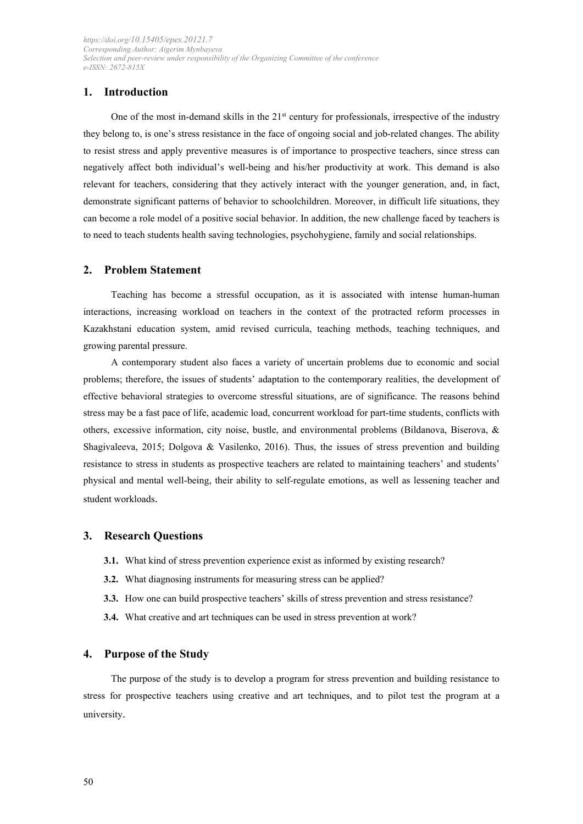# **1. Introduction**

One of the most in-demand skills in the  $21<sup>st</sup>$  century for professionals, irrespective of the industry they belong to, is one's stress resistance in the face of ongoing social and job-related changes. The ability to resist stress and apply preventive measures is of importance to prospective teachers, since stress can negatively affect both individual's well-being and his/her productivity at work. This demand is also relevant for teachers, considering that they actively interact with the younger generation, and, in fact, demonstrate significant patterns of behavior to schoolchildren. Moreover, in difficult life situations, they can become a role model of a positive social behavior. In addition, the new challenge faced by teachers is to need to teach students health saving technologies, psychohygiene, family and social relationships.

# **2. Problem Statement**

Teaching has become a stressful occupation, as it is associated with intense human-human interactions, increasing workload on teachers in the context of the protracted reform processes in Kazakhstani education system, amid revised curricula, teaching methods, teaching techniques, and growing parental pressure.

A contemporary student also faces a variety of uncertain problems due to economic and social problems; therefore, the issues of students' adaptation to the contemporary realities, the development of effective behavioral strategies to overcome stressful situations, are of significance. The reasons behind stress may be a fast pace of life, academic load, concurrent workload for part-time students, conflicts with others, excessive information, city noise, bustle, and environmental problems (Bildanova, Biserova, & Shagivaleeva, 2015; Dolgova & Vasilenko, 2016). Thus, the issues of stress prevention and building resistance to stress in students as prospective teachers are related to maintaining teachers' and students' physical and mental well-being, their ability to self-regulate emotions, as well as lessening teacher and student workloads.

# **3. Research Questions**

- **3.1.** What kind of stress prevention experience exist as informed by existing research?
- **3.2.** What diagnosing instruments for measuring stress can be applied?
- **3.3.** How one can build prospective teachers' skills of stress prevention and stress resistance?
- **3.4.** What creative and art techniques can be used in stress prevention at work?

# **4. Purpose of the Study**

The purpose of the study is to develop a program for stress prevention and building resistance to stress for prospective teachers using creative and art techniques, and to pilot test the program at a university.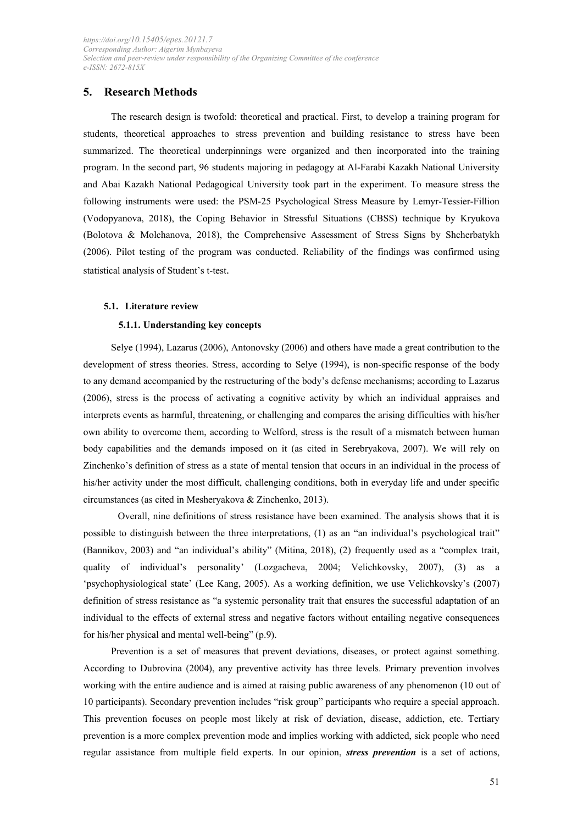# **5. Research Methods**

The research design is twofold: theoretical and practical. First, to develop a training program for students, theoretical approaches to stress prevention and building resistance to stress have been summarized. The theoretical underpinnings were organized and then incorporated into the training program. In the second part, 96 students majoring in pedagogy at Al-Farabi Kazakh National University and Abai Kazakh National Pedagogical University took part in the experiment. To measure stress the following instruments were used: the PSM-25 Psychological Stress Measure by Lemyr-Tessier-Fillion (Vodopyanova, 2018), the Coping Behavior in Stressful Situations (CBSS) technique by Kryukova (Bolotova & Molchanova, 2018), the Comprehensive Assessment of Stress Signs by Shcherbatykh (2006). Pilot testing of the program was conducted. Reliability of the findings was confirmed using statistical analysis of Student's t-test.

#### **5.1. Literature review**

#### **5.1.1. Understanding key concepts**

Selye (1994), Lazarus (2006), Antonovsky (2006) and others have made a great contribution to the development of stress theories. Stress, according to Selye (1994), is non-specific response of the body to any demand accompanied by the restructuring of the body's defense mechanisms; according to Lazarus (2006), stress is the process of activating a cognitive activity by which an individual appraises and interprets events as harmful, threatening, or challenging and compares the arising difficulties with his/her own ability to overcome them, according to Welford, stress is the result of a mismatch between human body capabilities and the demands imposed on it (as cited in Serebryakova, 2007). We will rely on Zinchenko's definition of stress as a state of mental tension that occurs in an individual in the process of his/her activity under the most difficult, challenging conditions, both in everyday life and under specific circumstances (as cited in Mesheryakova & Zinchenko, 2013).

Overall, nine definitions of stress resistance have been examined. The analysis shows that it is possible to distinguish between the three interpretations, (1) as an "an individual's psychological trait" (Bannikov, 2003) and "an individual's ability" (Mitina, 2018), (2) frequently used as a "complex trait, quality of individual's personality' (Lozgacheva, 2004; Velichkovsky, 2007), (3) as a 'psychophysiological state' (Lee Kang, 2005). As a working definition, we use Velichkovsky's (2007) definition of stress resistance as "a systemic personality trait that ensures the successful adaptation of an individual to the effects of external stress and negative factors without entailing negative consequences for his/her physical and mental well-being" (p.9).

Prevention is a set of measures that prevent deviations, diseases, or protect against something. According to Dubrovina (2004), any preventive activity has three levels. Primary prevention involves working with the entire audience and is aimed at raising public awareness of any phenomenon (10 out of 10 participants). Secondary prevention includes "risk group" participants who require a special approach. This prevention focuses on people most likely at risk of deviation, disease, addiction, etc. Tertiary prevention is a more complex prevention mode and implies working with addicted, sick people who need regular assistance from multiple field experts. In our opinion, *stress prevention* is a set of actions,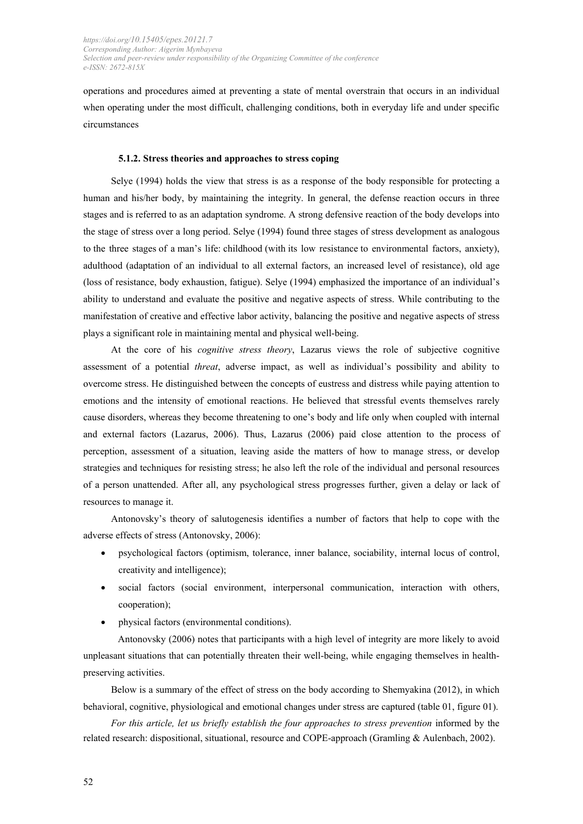operations and procedures aimed at preventing a state of mental overstrain that occurs in an individual when operating under the most difficult, challenging conditions, both in everyday life and under specific circumstances

#### **5.1.2. Stress theories and approaches to stress coping**

Selye (1994) holds the view that stress is as a response of the body responsible for protecting a human and his/her body, by maintaining the integrity. In general, the defense reaction occurs in three stages and is referred to as an adaptation syndrome. A strong defensive reaction of the body develops into the stage of stress over a long period. Selye (1994) found three stages of stress development as analogous to the three stages of a man's life: childhood (with its low resistance to environmental factors, anxiety), adulthood (adaptation of an individual to all external factors, an increased level of resistance), old age (loss of resistance, body exhaustion, fatigue). Selye (1994) emphasized the importance of an individual's ability to understand and evaluate the positive and negative aspects of stress. While contributing to the manifestation of creative and effective labor activity, balancing the positive and negative aspects of stress plays a significant role in maintaining mental and physical well-being.

At the core of his *cognitive stress theory*, Lazarus views the role of subjective cognitive assessment of a potential *threat*, adverse impact, as well as individual's possibility and ability to overcome stress. He distinguished between the concepts of eustress and distress while paying attention to emotions and the intensity of emotional reactions. He believed that stressful events themselves rarely cause disorders, whereas they become threatening to one's body and life only when coupled with internal and external factors (Lazarus, 2006). Thus, Lazarus (2006) paid close attention to the process of perception, assessment of a situation, leaving aside the matters of how to manage stress, or develop strategies and techniques for resisting stress; he also left the role of the individual and personal resources of a person unattended. After all, any psychological stress progresses further, given a delay or lack of resources to manage it.

Antonovsky's theory of salutogenesis identifies a number of factors that help to cope with the adverse effects of stress (Antonovsky, 2006):

- psychological factors (optimism, tolerance, inner balance, sociability, internal locus of control, creativity and intelligence);
- social factors (social environment, interpersonal communication, interaction with others, cooperation);
- physical factors (environmental conditions).

Antonovsky (2006) notes that participants with a high level of integrity are more likely to avoid unpleasant situations that can potentially threaten their well-being, while engaging themselves in healthpreserving activities.

Below is a summary of the effect of stress on the body according to Shemyakina (2012), in which behavioral, cognitive, physiological and emotional changes under stress are captured (table 01, figure 01).

For this article, let us briefly establish the four approaches to stress prevention informed by the related research: dispositional, situational, resource and COPE-approach (Gramling & Aulenbach, 2002).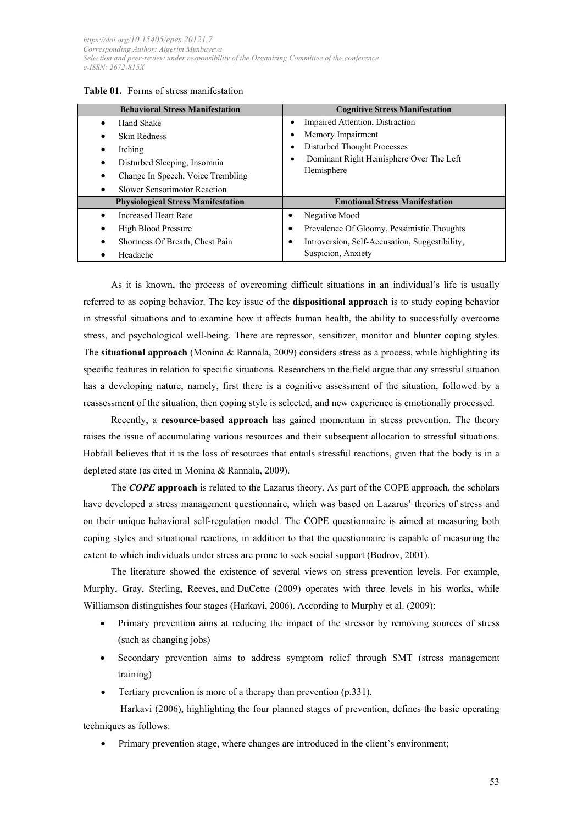| Table 01. Forms of stress manifestation |
|-----------------------------------------|
|-----------------------------------------|

| <b>Behavioral Stress Manifestation</b>    | <b>Cognitive Stress Manifestation</b>          |
|-------------------------------------------|------------------------------------------------|
| Hand Shake                                | Impaired Attention, Distraction<br>٠           |
| Skin Redness                              | Memory Impairment                              |
| Itching                                   | Disturbed Thought Processes<br>٠               |
| Disturbed Sleeping, Insomnia              | Dominant Right Hemisphere Over The Left<br>٠   |
| Change In Speech, Voice Trembling         | Hemisphere                                     |
| Slower Sensorimotor Reaction              |                                                |
| <b>Physiological Stress Manifestation</b> | <b>Emotional Stress Manifestation</b>          |
| Increased Heart Rate                      | Negative Mood                                  |
| High Blood Pressure                       | Prevalence Of Gloomy, Pessimistic Thoughts     |
| Shortness Of Breath, Chest Pain           | Introversion, Self-Accusation, Suggestibility, |
| Headache                                  | Suspicion, Anxiety                             |

As it is known, the process of overcoming difficult situations in an individual's life is usually referred to as coping behavior. The key issue of the **dispositional approach** is to study coping behavior in stressful situations and to examine how it affects human health, the ability to successfully overcome stress, and psychological well-being. There are repressor, sensitizer, monitor and blunter coping styles. The **situational approach** (Monina & Rannala, 2009) considers stress as a process, while highlighting its specific features in relation to specific situations. Researchers in the field argue that any stressful situation has a developing nature, namely, first there is a cognitive assessment of the situation, followed by a reassessment of the situation, then coping style is selected, and new experience is emotionally processed.

Recently, a **resource-based approach** has gained momentum in stress prevention. The theory raises the issue of accumulating various resources and their subsequent allocation to stressful situations. Hobfall believes that it is the loss of resources that entails stressful reactions, given that the body is in a depleted state (as cited in Monina & Rannala, 2009).

The *COPE* **approach** is related to the Lazarus theory. As part of the COPE approach, the scholars have developed a stress management questionnaire, which was based on Lazarus' theories of stress and on their unique behavioral self-regulation model. The COPE questionnaire is aimed at measuring both coping styles and situational reactions, in addition to that the questionnaire is capable of measuring the extent to which individuals under stress are prone to seek social support (Bodrov, 2001).

The literature showed the existence of several views on stress prevention levels. For example, Murphy, Gray, Sterling, Reeves, and DuCette (2009) operates with three levels in his works, while Williamson distinguishes four stages (Harkavi, 2006). According to Murphy et al. (2009):

- Primary prevention aims at reducing the impact of the stressor by removing sources of stress (such as changing jobs)
- Secondary prevention aims to address symptom relief through SMT (stress management training)
- Tertiary prevention is more of a therapy than prevention (p.331).

Harkavi (2006), highlighting the four planned stages of prevention, defines the basic operating techniques as follows:

Primary prevention stage, where changes are introduced in the client's environment;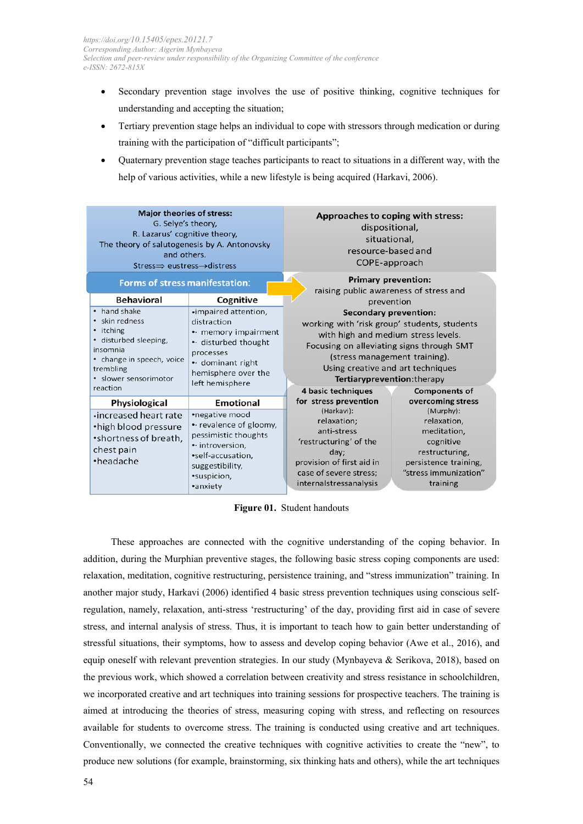- Secondary prevention stage involves the use of positive thinking, cognitive techniques for understanding and accepting the situation;
- Tertiary prevention stage helps an individual to cope with stressors through medication or during training with the participation of "difficult participants";
- Quaternary prevention stage teaches participants to react to situations in a different way, with the help of various activities, while a new lifestyle is being acquired (Harkavi, 2006).

| <b>Major theories of stress:</b><br>G. Selye's theory,<br>R. Lazarus' cognitive theory,<br>The theory of salutogenesis by A. Antonovsky<br>and others.<br>$\text{Stress} \Rightarrow \text{eustress} \rightarrow \text{distress}$ |                                                                                                                                                                     | Approaches to coping with stress:<br>dispositional,<br>situational,<br>resource-based and<br>COPE-approach                                                                                                                                                                                                                        |                                                                                                                                                           |
|-----------------------------------------------------------------------------------------------------------------------------------------------------------------------------------------------------------------------------------|---------------------------------------------------------------------------------------------------------------------------------------------------------------------|-----------------------------------------------------------------------------------------------------------------------------------------------------------------------------------------------------------------------------------------------------------------------------------------------------------------------------------|-----------------------------------------------------------------------------------------------------------------------------------------------------------|
| <b>Forms of stress manifestation:</b><br><b>Behavioral</b>                                                                                                                                                                        | Cognitive                                                                                                                                                           | <b>Primary prevention:</b><br>raising public awareness of stress and                                                                                                                                                                                                                                                              |                                                                                                                                                           |
| • hand shake<br>• skin redness<br>• itching<br>• disturbed sleeping,<br>insomnia<br>• change in speech, voice<br>trembling<br>· slower sensorimotor<br>reaction                                                                   | ·impaired attention,<br>distraction<br>• memory impairment<br>• disturbed thought<br>processes<br>$\cdot$ dominant right<br>hemisphere over the<br>left hemisphere  | prevention<br><b>Secondary prevention:</b><br>working with 'risk group' students, students<br>with high and medium stress levels.<br>Focusing on alleviating signs through SMT<br>(stress management training).<br>Using creative and art techniques<br>Tertiaryprevention: therapy<br>4 basic techniques<br><b>Components of</b> |                                                                                                                                                           |
| Physiological<br>increased heart rate<br>•high blood pressure<br>•shortness of breath.<br>chest pain<br>•headache                                                                                                                 | Emotional<br>•negative mood<br>• revalence of gloomy,<br>pessimistic thoughts<br>• introversion,<br>•self-accusation,<br>suggestibility,<br>•suspicion,<br>•anxiety | for stress prevention<br>(Harkavi):<br>relaxation;<br>anti-stress<br>'restructuring' of the<br>day;<br>provision of first aid in<br>case of severe stress;<br>internalstressanalysis                                                                                                                                              | overcoming stress<br>(Murphy):<br>relaxation,<br>meditation,<br>cognitive<br>restructuring,<br>persistence training,<br>"stress immunization"<br>training |

**Figure 01.** Student handouts

These approaches are connected with the cognitive understanding of the coping behavior. In addition, during the Murphian preventive stages, the following basic stress coping components are used: relaxation, meditation, cognitive restructuring, persistence training, and "stress immunization" training. In another major study, Harkavi (2006) identified 4 basic stress prevention techniques using conscious selfregulation, namely, relaxation, anti-stress 'restructuring' of the day, providing first aid in case of severe stress, and internal analysis of stress. Thus, it is important to teach how to gain better understanding of stressful situations, their symptoms, how to assess and develop coping behavior (Awe et al., 2016), and equip oneself with relevant prevention strategies. In our study (Mynbayeva & Serikova, 2018), based on the previous work, which showed a correlation between creativity and stress resistance in schoolchildren, we incorporated creative and art techniques into training sessions for prospective teachers. The training is aimed at introducing the theories of stress, measuring coping with stress, and reflecting on resources available for students to overcome stress. The training is conducted using creative and art techniques. Conventionally, we connected the creative techniques with cognitive activities to create the "new", to produce new solutions (for example, brainstorming, six thinking hats and others), while the art techniques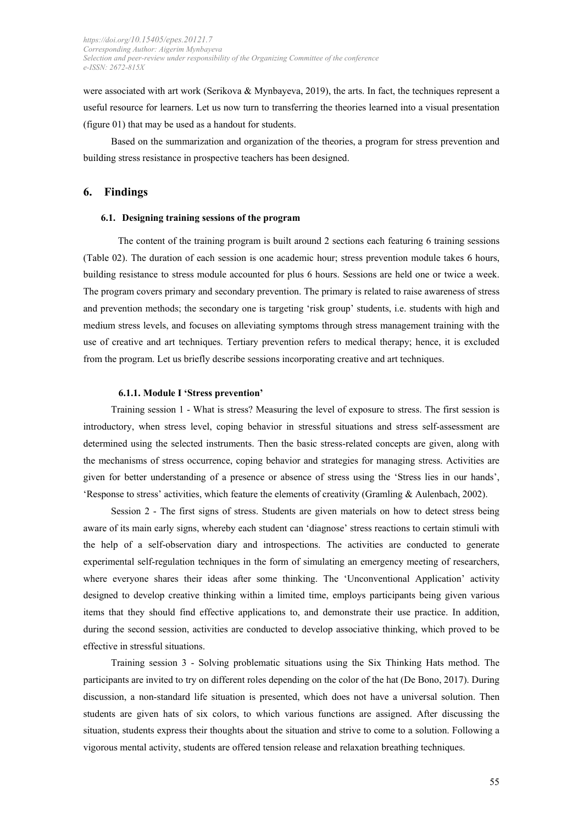were associated with art work (Serikova & Mynbayeva, 2019), the arts. In fact, the techniques represent a useful resource for learners. Let us now turn to transferring the theories learned into a visual presentation (figure 01) that may be used as a handout for students.

Based on the summarization and organization of the theories, a program for stress prevention and building stress resistance in prospective teachers has been designed.

### **6. Findings**

#### **6.1. Designing training sessions of the program**

The content of the training program is built around 2 sections each featuring 6 training sessions (Table 02). The duration of each session is one academic hour; stress prevention module takes 6 hours, building resistance to stress module accounted for plus 6 hours. Sessions are held one or twice a week. The program covers primary and secondary prevention. The primary is related to raise awareness of stress and prevention methods; the secondary one is targeting 'risk group' students, i.e. students with high and medium stress levels, and focuses on alleviating symptoms through stress management training with the use of creative and art techniques. Tertiary prevention refers to medical therapy; hence, it is excluded from the program. Let us briefly describe sessions incorporating creative and art techniques.

### **6.1.1. Module I 'Stress prevention'**

Training session 1 - What is stress? Measuring the level of exposure to stress. The first session is introductory, when stress level, coping behavior in stressful situations and stress self-assessment are determined using the selected instruments. Then the basic stress-related concepts are given, along with the mechanisms of stress occurrence, coping behavior and strategies for managing stress. Activities are given for better understanding of a presence or absence of stress using the 'Stress lies in our hands', 'Response to stress' activities, which feature the elements of creativity (Gramling & Aulenbach, 2002).

Session 2 - The first signs of stress. Students are given materials on how to detect stress being aware of its main early signs, whereby each student can 'diagnose' stress reactions to certain stimuli with the help of a self-observation diary and introspections. The activities are conducted to generate experimental self-regulation techniques in the form of simulating an emergency meeting of researchers, where everyone shares their ideas after some thinking. The 'Unconventional Application' activity designed to develop creative thinking within a limited time, employs participants being given various items that they should find effective applications to, and demonstrate their use practice. In addition, during the second session, activities are conducted to develop associative thinking, which proved to be effective in stressful situations.

Training session 3 - Solving problematic situations using the Six Thinking Hats method. The participants are invited to try on different roles depending on the color of the hat (De Bono, 2017). During discussion, a non-standard life situation is presented, which does not have a universal solution. Then students are given hats of six colors, to which various functions are assigned. After discussing the situation, students express their thoughts about the situation and strive to come to a solution. Following a vigorous mental activity, students are offered tension release and relaxation breathing techniques.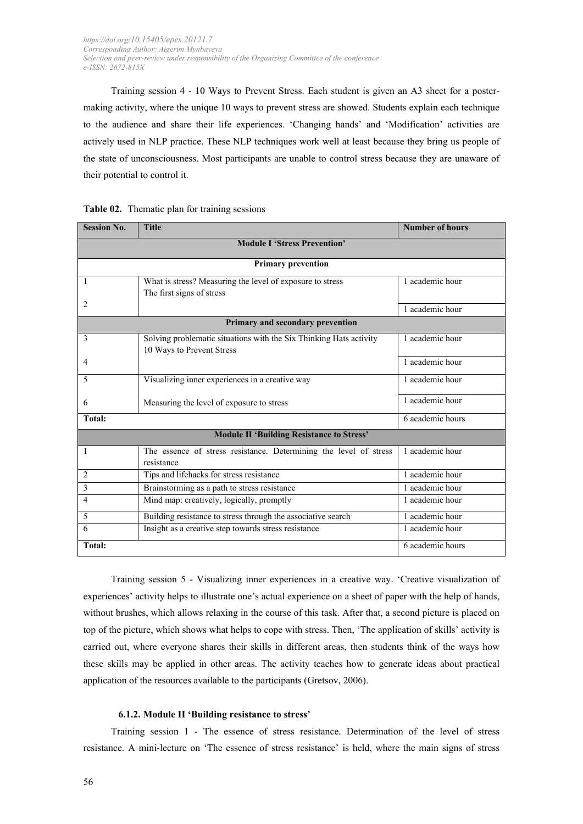Training session 4 - 10 Ways to Prevent Stress. Each student is given an A3 sheet for a postermaking activity, where the unique 10 ways to prevent stress are showed. Students explain each technique to the audience and share their life experiences. 'Changing hands' and 'Modification' activities are actively used in NLP practice. These NLP techniques work well at least because they bring us people of the state of unconsciousness. Most participants are unable to control stress because they are unaware of their potential to control it.

| <b>Session No.</b>                               | <b>Title</b>                                                                    | <b>Number of hours</b> |  |  |  |  |  |
|--------------------------------------------------|---------------------------------------------------------------------------------|------------------------|--|--|--|--|--|
| <b>Module I 'Stress Prevention'</b>              |                                                                                 |                        |  |  |  |  |  |
|                                                  | <b>Primary prevention</b>                                                       |                        |  |  |  |  |  |
| 1                                                | What is stress? Measuring the level of exposure to stress                       | 1 academic hour        |  |  |  |  |  |
|                                                  | The first signs of stress                                                       |                        |  |  |  |  |  |
| 2                                                |                                                                                 | 1 academic hour        |  |  |  |  |  |
|                                                  | Primary and secondary prevention                                                |                        |  |  |  |  |  |
| 3                                                | Solving problematic situations with the Six Thinking Hats activity              | 1 academic hour        |  |  |  |  |  |
|                                                  | 10 Ways to Prevent Stress                                                       |                        |  |  |  |  |  |
| 4                                                |                                                                                 | 1 academic hour        |  |  |  |  |  |
| 5                                                | Visualizing inner experiences in a creative way                                 | 1 academic hour        |  |  |  |  |  |
| 6                                                | Measuring the level of exposure to stress                                       | 1 academic hour        |  |  |  |  |  |
| <b>Total:</b>                                    |                                                                                 | 6 academic hours       |  |  |  |  |  |
| <b>Module II 'Building Resistance to Stress'</b> |                                                                                 |                        |  |  |  |  |  |
| 1                                                | The essence of stress resistance. Determining the level of stress<br>resistance | 1 academic hour        |  |  |  |  |  |
| 2                                                | Tips and lifehacks for stress resistance                                        | 1 academic hour        |  |  |  |  |  |
| 3                                                | Brainstorming as a path to stress resistance                                    | 1 academic hour        |  |  |  |  |  |
| 4                                                | Mind map: creatively, logically, promptly                                       | 1 academic hour        |  |  |  |  |  |
| 5                                                | Building resistance to stress through the associative search                    | 1 academic hour        |  |  |  |  |  |
| 6                                                | Insight as a creative step towards stress resistance                            | 1 academic hour        |  |  |  |  |  |
| <b>Total:</b>                                    |                                                                                 | 6 academic hours       |  |  |  |  |  |

| Table 02. Thematic plan for training sessions |  |  |
|-----------------------------------------------|--|--|
|                                               |  |  |

Training session 5 - Visualizing inner experiences in a creative way. 'Creative visualization of experiences' activity helps to illustrate one's actual experience on a sheet of paper with the help of hands, without brushes, which allows relaxing in the course of this task. After that, a second picture is placed on top of the picture, which shows what helps to cope with stress. Then, 'The application of skills' activity is carried out, where everyone shares their skills in different areas, then students think of the ways how these skills may be applied in other areas. The activity teaches how to generate ideas about practical application of the resources available to the participants (Gretsov, 2006).

# **6.1.2. Module II 'Building resistance to stress'**

Training session 1 - The essence of stress resistance. Determination of the level of stress resistance. A mini-lecture on 'The essence of stress resistance' is held, where the main signs of stress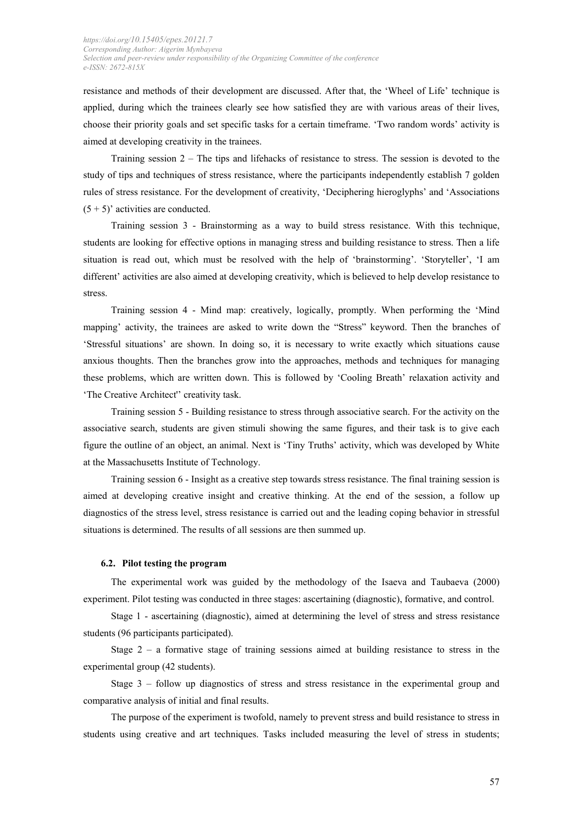resistance and methods of their development are discussed. After that, the 'Wheel of Life' technique is applied, during which the trainees clearly see how satisfied they are with various areas of their lives, choose their priority goals and set specific tasks for a certain timeframe. 'Two random words' activity is aimed at developing creativity in the trainees.

Training session 2 – The tips and lifehacks of resistance to stress. The session is devoted to the study of tips and techniques of stress resistance, where the participants independently establish 7 golden rules of stress resistance. For the development of creativity, 'Deciphering hieroglyphs' and 'Associations  $(5 + 5)$ ' activities are conducted.

Training session 3 - Brainstorming as a way to build stress resistance. With this technique, students are looking for effective options in managing stress and building resistance to stress. Then a life situation is read out, which must be resolved with the help of 'brainstorming'. 'Storyteller', 'I am different' activities are also aimed at developing creativity, which is believed to help develop resistance to stress.

Training session 4 - Mind map: creatively, logically, promptly. When performing the 'Mind mapping' activity, the trainees are asked to write down the "Stress" keyword. Then the branches of 'Stressful situations' are shown. In doing so, it is necessary to write exactly which situations cause anxious thoughts. Then the branches grow into the approaches, methods and techniques for managing these problems, which are written down. This is followed by 'Cooling Breath' relaxation activity and 'The Creative Architect'' creativity task.

Training session 5 - Building resistance to stress through associative search. For the activity on the associative search, students are given stimuli showing the same figures, and their task is to give each figure the outline of an object, an animal. Next is 'Tiny Truths' activity, which was developed by White at the Massachusetts Institute of Technology.

Training session 6 - Insight as a creative step towards stress resistance. The final training session is aimed at developing creative insight and creative thinking. At the end of the session, a follow up diagnostics of the stress level, stress resistance is carried out and the leading coping behavior in stressful situations is determined. The results of all sessions are then summed up.

#### **6.2. Pilot testing the program**

The experimental work was guided by the methodology of the Isaeva and Taubaeva (2000) experiment. Pilot testing was conducted in three stages: ascertaining (diagnostic), formative, and control.

Stage 1 - ascertaining (diagnostic), aimed at determining the level of stress and stress resistance students (96 participants participated).

Stage  $2 - a$  formative stage of training sessions aimed at building resistance to stress in the experimental group (42 students).

Stage 3 – follow up diagnostics of stress and stress resistance in the experimental group and comparative analysis of initial and final results.

The purpose of the experiment is twofold, namely to prevent stress and build resistance to stress in students using creative and art techniques. Tasks included measuring the level of stress in students;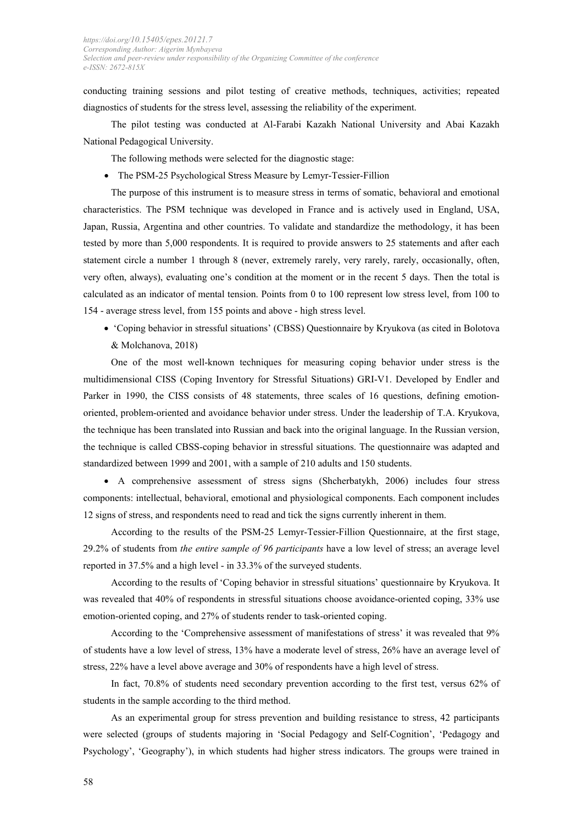conducting training sessions and pilot testing of creative methods, techniques, activities; repeated diagnostics of students for the stress level, assessing the reliability of the experiment.

The pilot testing was conducted at Al-Farabi Kazakh National University and Abai Kazakh National Pedagogical University.

The following methods were selected for the diagnostic stage:

• The PSM-25 Psychological Stress Measure by Lemyr-Tessier-Fillion

The purpose of this instrument is to measure stress in terms of somatic, behavioral and emotional characteristics. The PSM technique was developed in France and is actively used in England, USA, Japan, Russia, Argentina and other countries. To validate and standardize the methodology, it has been tested by more than 5,000 respondents. It is required to provide answers to 25 statements and after each statement circle a number 1 through 8 (never, extremely rarely, very rarely, rarely, occasionally, often, very often, always), evaluating one's condition at the moment or in the recent 5 days. Then the total is calculated as an indicator of mental tension. Points from 0 to 100 represent low stress level, from 100 to 154 - average stress level, from 155 points and above - high stress level.

• 'Coping behavior in stressful situations' (CBSS) Questionnaire by Kryukova (as cited in Bolotova & Molchanova, 2018)

One of the most well-known techniques for measuring coping behavior under stress is the multidimensional CISS (Coping Inventory for Stressful Situations) GRI-V1. Developed by Endler and Parker in 1990, the CISS consists of 48 statements, three scales of 16 questions, defining emotionoriented, problem-oriented and avoidance behavior under stress. Under the leadership of T.A. Kryukova, the technique has been translated into Russian and back into the original language. In the Russian version, the technique is called CBSS-coping behavior in stressful situations. The questionnaire was adapted and standardized between 1999 and 2001, with a sample of 210 adults and 150 students.

• A comprehensive assessment of stress signs (Shcherbatykh, 2006) includes four stress components: intellectual, behavioral, emotional and physiological components. Each component includes 12 signs of stress, and respondents need to read and tick the signs currently inherent in them.

According to the results of the PSM-25 Lemyr-Tessier-Fillion Questionnaire, at the first stage, 29.2% of students from *the entire sample of 96 participants* have a low level of stress; an average level reported in 37.5% and a high level - in 33.3% of the surveyed students.

According to the results of 'Coping behavior in stressful situations' questionnaire by Kryukova. It was revealed that 40% of respondents in stressful situations choose avoidance-oriented coping, 33% use emotion-oriented coping, and 27% of students render to task-oriented coping.

According to the 'Comprehensive assessment of manifestations of stress' it was revealed that 9% of students have a low level of stress, 13% have a moderate level of stress, 26% have an average level of stress, 22% have a level above average and 30% of respondents have a high level of stress.

In fact, 70.8% of students need secondary prevention according to the first test, versus 62% of students in the sample according to the third method.

As an experimental group for stress prevention and building resistance to stress, 42 participants were selected (groups of students majoring in 'Social Pedagogy and Self-Cognition', 'Pedagogy and Psychology', 'Geography'), in which students had higher stress indicators. The groups were trained in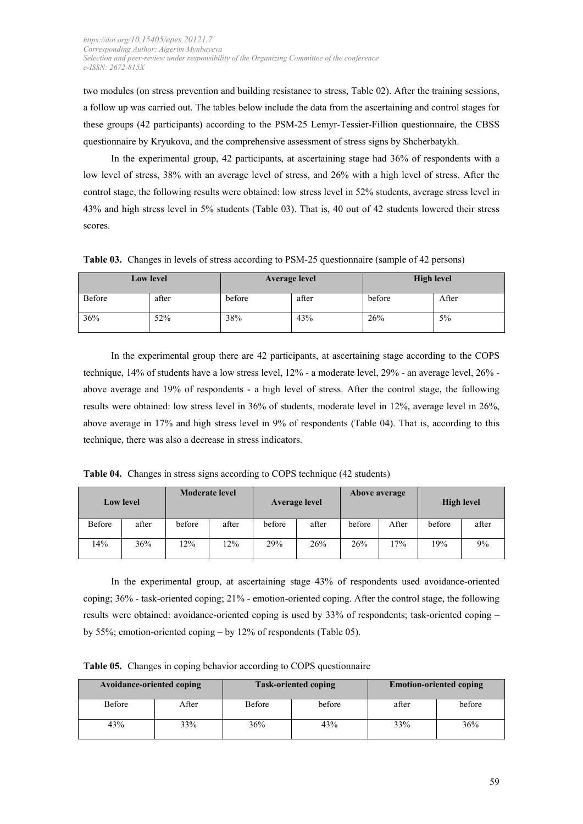two modules (on stress prevention and building resistance to stress, Table 02). After the training sessions, a follow up was carried out. The tables below include the data from the ascertaining and control stages for these groups (42 participants) according to the PSM-25 Lemyr-Tessier-Fillion questionnaire, the CBSS questionnaire by Kryukova, and the comprehensive assessment of stress signs by Shcherbatykh.

In the experimental group, 42 participants, at ascertaining stage had 36% of respondents with a low level of stress, 38% with an average level of stress, and 26% with a high level of stress. After the control stage, the following results were obtained: low stress level in 52% students, average stress level in 43% and high stress level in 5% students (Table 03). That is, 40 out of 42 students lowered their stress scores.

**Table 03.** Changes in levels of stress according to PSM-25 questionnaire (sample of 42 persons)

| <b>Low level</b> |       | <b>Average level</b> |       | <b>High level</b> |       |  |
|------------------|-------|----------------------|-------|-------------------|-------|--|
| Before           | after | before               | after | before            | After |  |
| 36%              | 52%   | 38%                  | 43%   | 26%               | 5%    |  |

In the experimental group there are 42 participants, at ascertaining stage according to the COPS technique, 14% of students have a low stress level, 12% - a moderate level, 29% - an average level, 26% above average and 19% of respondents - a high level of stress. After the control stage, the following results were obtained: low stress level in 36% of students, moderate level in 12%, average level in 26%, above average in 17% and high stress level in 9% of respondents (Table 04). That is, according to this technique, there was also a decrease in stress indicators.

**Table 04.** Changes in stress signs according to COPS technique (42 students)

| <b>Low level</b> |       | <b>Moderate level</b> |       | <b>Average level</b> |       |        | <b>Above average</b> | <b>High level</b> |       |
|------------------|-------|-----------------------|-------|----------------------|-------|--------|----------------------|-------------------|-------|
| Before           | after | before                | after | before               | after | before | After                | before            | after |
| 14%              | 36%   | 12%                   | 12%   | 29%                  | 26%   | 26%    | 17%                  | 19%               | 9%    |

In the experimental group, at ascertaining stage 43% of respondents used avoidance-oriented coping; 36% - task-oriented coping; 21% - emotion-oriented coping. After the control stage, the following results were obtained: avoidance-oriented coping is used by 33% of respondents; task-oriented coping – by 55%; emotion-oriented coping – by 12% of respondents (Table 05).

**Table 05.** Changes in coping behavior according to COPS questionnaire

| Avoidance-oriented coping |       |        | <b>Task-oriented coping</b> | <b>Emotion-oriented coping</b> |        |  |
|---------------------------|-------|--------|-----------------------------|--------------------------------|--------|--|
| Before                    | After | Before | before                      | after                          | before |  |
| 43%                       | 33%   | 36%    | 43%                         | 33%                            | 36%    |  |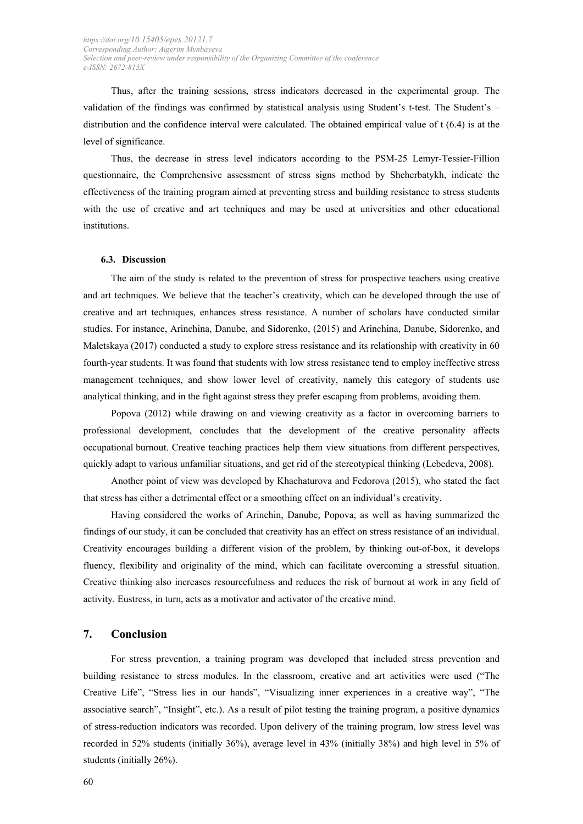Thus, after the training sessions, stress indicators decreased in the experimental group. The validation of the findings was confirmed by statistical analysis using Student's t-test. The Student's – distribution and the confidence interval were calculated. The obtained empirical value of t (6.4) is at the level of significance.

Thus, the decrease in stress level indicators according to the PSM-25 Lemyr-Tessier-Fillion questionnaire, the Comprehensive assessment of stress signs method by Shcherbatykh, indicate the effectiveness of the training program aimed at preventing stress and building resistance to stress students with the use of creative and art techniques and may be used at universities and other educational institutions.

#### **6.3. Discussion**

The aim of the study is related to the prevention of stress for prospective teachers using creative and art techniques. We believe that the teacher's creativity, which can be developed through the use of creative and art techniques, enhances stress resistance. A number of scholars have conducted similar studies. For instance, Arinchina, Danube, and Sidorenko, (2015) and Arinchina, Danube, Sidorenko, and Maletskaya (2017) conducted a study to explore stress resistance and its relationship with creativity in 60 fourth-year students. It was found that students with low stress resistance tend to employ ineffective stress management techniques, and show lower level of creativity, namely this category of students use analytical thinking, and in the fight against stress they prefer escaping from problems, avoiding them.

Popova (2012) while drawing on and viewing creativity as a factor in overcoming barriers to professional development, concludes that the development of the creative personality affects occupational burnout. Creative teaching practices help them view situations from different perspectives, quickly adapt to various unfamiliar situations, and get rid of the stereotypical thinking (Lebedeva, 2008).

Another point of view was developed by Khachaturova and Fedorova (2015), who stated the fact that stress has either a detrimental effect or a smoothing effect on an individual's creativity.

Having considered the works of Arinchin, Danube, Popova, as well as having summarized the findings of our study, it can be concluded that creativity has an effect on stress resistance of an individual. Creativity encourages building a different vision of the problem, by thinking out-of-box, it develops fluency, flexibility and originality of the mind, which can facilitate overcoming a stressful situation. Creative thinking also increases resourcefulness and reduces the risk of burnout at work in any field of activity. Eustress, in turn, acts as a motivator and activator of the creative mind.

### **7. Conclusion**

For stress prevention, a training program was developed that included stress prevention and building resistance to stress modules. In the classroom, creative and art activities were used ("The Creative Life", "Stress lies in our hands", "Visualizing inner experiences in a creative way", "The associative search", "Insight", etc.). As a result of pilot testing the training program, a positive dynamics of stress-reduction indicators was recorded. Upon delivery of the training program, low stress level was recorded in 52% students (initially 36%), average level in 43% (initially 38%) and high level in 5% of students (initially 26%).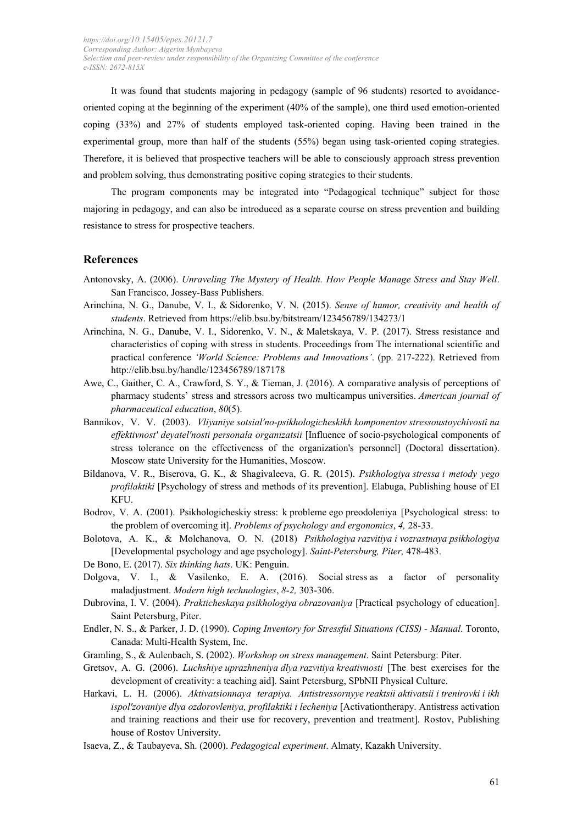It was found that students majoring in pedagogy (sample of 96 students) resorted to avoidanceoriented coping at the beginning of the experiment (40% of the sample), one third used emotion-oriented coping (33%) and 27% of students employed task-oriented coping. Having been trained in the experimental group, more than half of the students (55%) began using task-oriented coping strategies. Therefore, it is believed that prospective teachers will be able to consciously approach stress prevention and problem solving, thus demonstrating positive coping strategies to their students.

The program components may be integrated into "Pedagogical technique" subject for those majoring in pedagogy, and can also be introduced as a separate course on stress prevention and building resistance to stress for prospective teachers.

## **References**

- Antonovsky, A. (2006). *Unraveling The Mystery of Health. How People Manage Stress and Stay Well*. San Francisco, Jossey-Bass Publishers.
- Arinchina, N. G., Danube, V. I., & Sidorenko, V. N. (2015). *Sense of humor, creativity and health of students*. Retrieved from https://elib.bsu.by/bitstream/123456789/134273/1
- Arinchina, N. G., Danube, V. I., Sidorenko, V. N., & Maletskaya, V. P. (2017). Stress resistance and characteristics of coping with stress in students. Proceedings from The international scientific and practical conference *'World Science: Problems and Innovations'*. (pp. 217-222). Retrieved from http://elib.bsu.by/handle/123456789/187178
- Awe, C., Gaither, C. A., Crawford, S. Y., & Tieman, J. (2016). A comparative analysis of perceptions of pharmacy students' stress and stressors across two multicampus universities. *American journal of pharmaceutical education*, *80*(5).
- Bannikov, V. V. (2003). *Vliyaniye sotsial'no-psikhologicheskikh komponentov stressoustoychivosti na effektivnost' deyatel'nosti personala organizatsii* [Influence of socio-psychological components of stress tolerance on the effectiveness of the organization's personnel] (Doctoral dissertation). Moscow state University for the Humanities, Moscow.
- Bildanova, V. R., Biserova, G. K., & Shagivaleeva, G. R. (2015). *Psikhologiya stressa i metody yego profilaktiki* [Psychology of stress and methods of its prevention]. Elabuga, Publishing house of EI KFU.
- Bodrov, V. A. (2001). Psikhologicheskiy stress: k probleme ego preodoleniya [Psychological stress: to the problem of overcoming it]. *Problems of psychology and ergonomics*, *4,* 28-33.
- Bolotova, A. K., & Molchanova, O. N. (2018) *Psikhologiya razvitiya i vozrastnaya psikhologiya* [Developmental psychology and age psychology]. *Saint-Petersburg, Piter,* 478-483.
- De Bono, E. (2017). *Six thinking hats*. UK: Penguin.
- Dolgova, V. I., & Vasilenko, E. A. (2016). Social stress as a factor of personality maladjustment. *Modern high technologies*, *8-2,* 303-306.
- Dubrovina, I. V. (2004). *Prakticheskaya psikhologiya obrazovaniya* [Practical psychology of education]. Saint Petersburg, Piter.
- Endler, N. S., & Parker, J. D. (1990). *Coping Inventory for Stressful Situations (CISS) Manual.* Toronto, Canada: Multi-Health System, Inc.
- Gramling, S., & Aulenbach, S. (2002). *Workshop on stress management*. Saint Petersburg: Piter.
- Gretsov, A. G. (2006). *Luchshiye uprazhneniya dlya razvitiya kreativnosti* [The best exercises for the development of creativity: a teaching aid]. Saint Petersburg, SPbNII Physical Culture.
- Harkavi, L. H. (2006). *Aktivatsionnaya terapiya. Antistressornyye reaktsii aktivatsii i trenirovki i ikh ispol'zovaniye dlya ozdorovleniya, profilaktiki i lecheniya* [Activationtherapy. Antistress activation and training reactions and their use for recovery, prevention and treatment]. Rostov, Publishing house of Rostov University.
- Isaeva, Z., & Taubayeva, Sh. (2000). *Pedagogical experiment*. Almaty, Kazakh University.